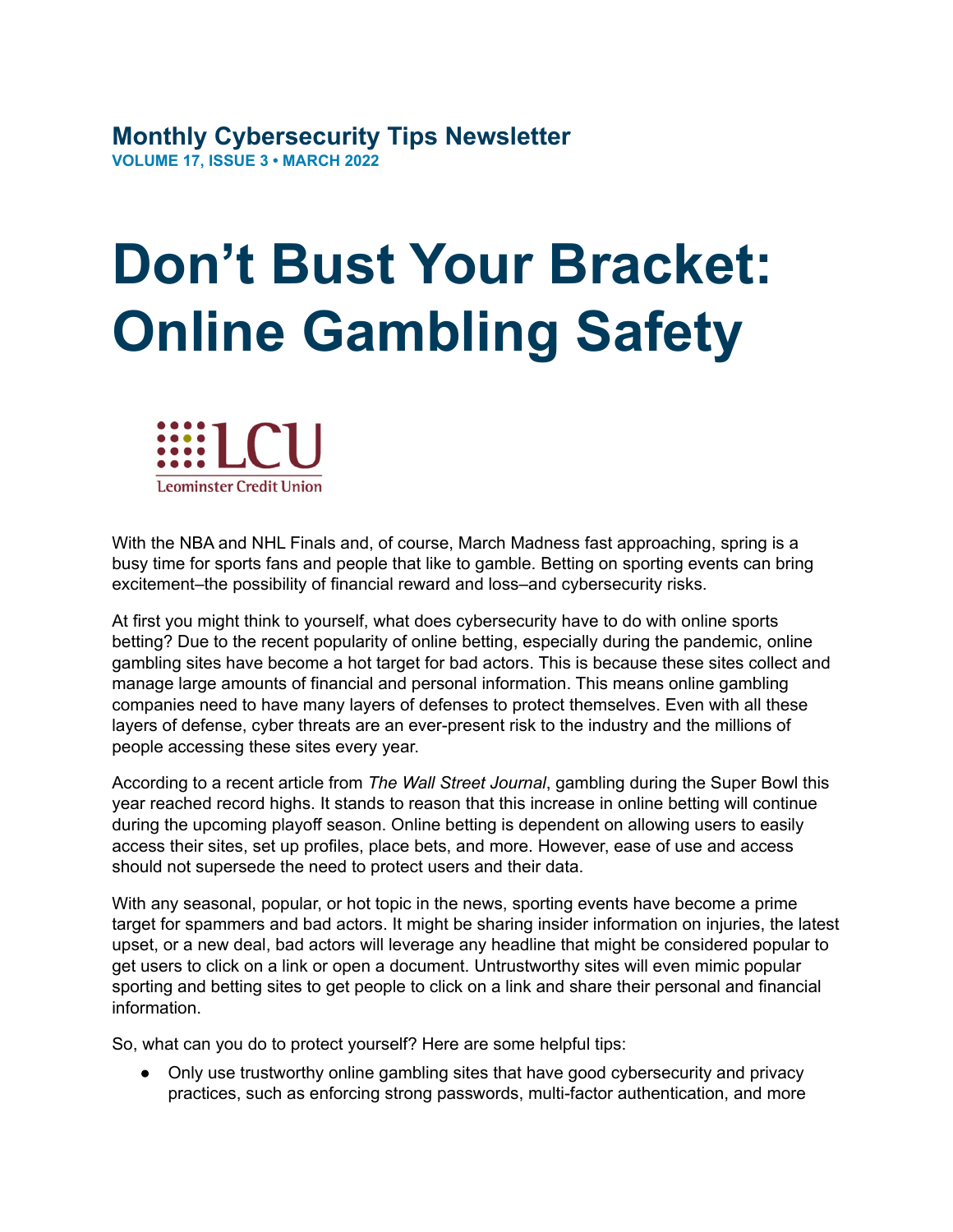## **Monthly Cybersecurity Tips Newsletter VOLUME 17, ISSUE 3 • MARCH 2022**

## **Don't Bust Your Bracket: Online Gambling Safety**



With the NBA and NHL Finals and, of course, March Madness fast approaching, spring is a busy time for sports fans and people that like to gamble. Betting on sporting events can bring excitement–the possibility of financial reward and loss–and cybersecurity risks.

At first you might think to yourself, what does cybersecurity have to do with online sports betting? Due to the recent popularity of online betting, especially during the pandemic, online gambling sites have become a hot target for bad actors. This is because these sites collect and manage large amounts of financial and personal information. This means online gambling companies need to have many layers of defenses to protect themselves. Even with all these layers of defense, cyber threats are an ever-present risk to the industry and the millions of people accessing these sites every year.

According to a recent article from *The Wall Street Journal*, gambling during the Super Bowl this year reached record highs. It stands to reason that this increase in online betting will continue during the upcoming playoff season. Online betting is dependent on allowing users to easily access their sites, set up profiles, place bets, and more. However, ease of use and access should not supersede the need to protect users and their data.

With any seasonal, popular, or hot topic in the news, sporting events have become a prime target for spammers and bad actors. It might be sharing insider information on injuries, the latest upset, or a new deal, bad actors will leverage any headline that might be considered popular to get users to click on a link or open a document. Untrustworthy sites will even mimic popular sporting and betting sites to get people to click on a link and share their personal and financial information.

So, what can you do to protect yourself? Here are some helpful tips:

• Only use trustworthy online gambling sites that have good cybersecurity and privacy practices, such as enforcing strong passwords, multi-factor authentication, and more